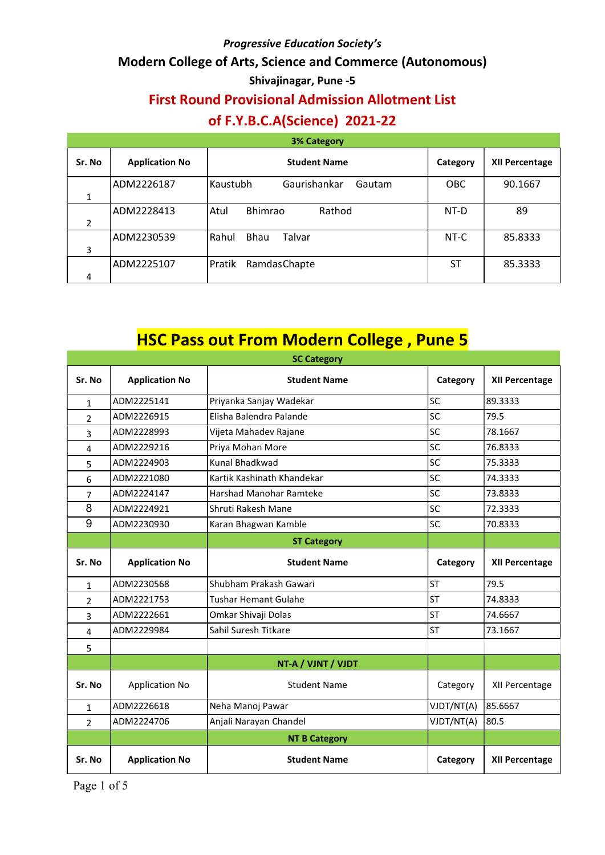## Modern College of Arts, Science and Commerce (Autonomous)

### Shivajinagar, Pune -5

# First Round Provisional Admission Allotment List

# of F.Y.B.C.A(Science) 2021-22

| <b>3% Category</b> |                       |                                    |            |                       |
|--------------------|-----------------------|------------------------------------|------------|-----------------------|
| Sr. No             | <b>Application No</b> | <b>Student Name</b>                | Category   | <b>XII Percentage</b> |
|                    | ADM2226187            | Kaustubh<br>Gaurishankar<br>Gautam | <b>OBC</b> | 90.1667               |
| 1                  |                       |                                    |            |                       |
|                    | ADM2228413            | <b>Bhimrao</b><br>Rathod<br>Atul   | NT-D       | 89                    |
| 2                  |                       |                                    |            |                       |
|                    | ADM2230539            | Bhau<br>Rahul<br>Talvar            | NT-C       | 85.8333               |
| 3                  |                       |                                    |            |                       |
|                    | ADM2225107            | RamdasChapte<br>Pratik             | ST         | 85.3333               |
| 4                  |                       |                                    |            |                       |

# **HSC Pass out From Modern College, Pune 5**

| <b>SC Category</b> |                       |                             |            |                       |
|--------------------|-----------------------|-----------------------------|------------|-----------------------|
| Sr. No             | <b>Application No</b> | <b>Student Name</b>         | Category   | <b>XII Percentage</b> |
| $\mathbf{1}$       | ADM2225141            | Priyanka Sanjay Wadekar     | SC         | 89.3333               |
| $\overline{2}$     | ADM2226915            | Elisha Balendra Palande     | SC         | 79.5                  |
| 3                  | ADM2228993            | Vijeta Mahadev Rajane       | SC         | 78.1667               |
| $\overline{4}$     | ADM2229216            | Priya Mohan More            | SC         | 76.8333               |
| 5                  | ADM2224903            | Kunal Bhadkwad              | SC         | 75.3333               |
| 6                  | ADM2221080            | Kartik Kashinath Khandekar  | SC         | 74.3333               |
| $\overline{7}$     | ADM2224147            | Harshad Manohar Ramteke     | SC         | 73.8333               |
| 8                  | ADM2224921            | Shruti Rakesh Mane          | SC         | 72.3333               |
| 9                  | ADM2230930            | Karan Bhagwan Kamble        | SC         | 70.8333               |
|                    |                       | <b>ST Category</b>          |            |                       |
| Sr. No             | <b>Application No</b> | <b>Student Name</b>         | Category   | <b>XII Percentage</b> |
| 1                  | ADM2230568            | Shubham Prakash Gawari      | <b>ST</b>  | 79.5                  |
| $\overline{2}$     | ADM2221753            | <b>Tushar Hemant Gulahe</b> | <b>ST</b>  | 74.8333               |
| 3                  | ADM2222661            | Omkar Shivaji Dolas         | <b>ST</b>  | 74.6667               |
| 4                  | ADM2229984            | Sahil Suresh Titkare        | <b>ST</b>  | 73.1667               |
| 5                  |                       |                             |            |                       |
|                    |                       | NT-A / VJNT / VJDT          |            |                       |
| Sr. No             | <b>Application No</b> | <b>Student Name</b>         | Category   | XII Percentage        |
| $\mathbf{1}$       | ADM2226618            | Neha Manoj Pawar            | VJDT/NT(A) | 85.6667               |
| $\overline{2}$     | ADM2224706            | Anjali Narayan Chandel      | VJDT/NT(A) | 80.5                  |
|                    |                       | <b>NT B Category</b>        |            |                       |
| Sr. No             | <b>Application No</b> | <b>Student Name</b>         | Category   | <b>XII Percentage</b> |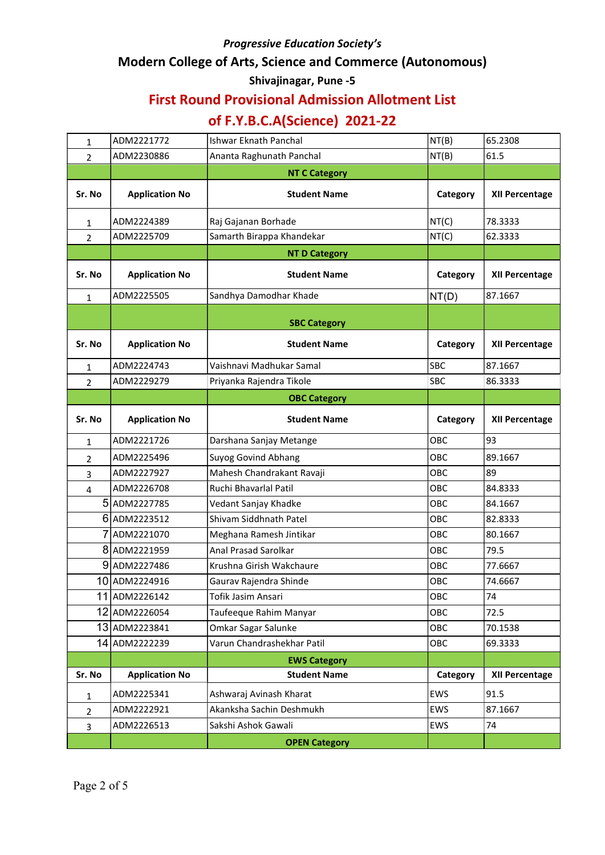# Modern College of Arts, Science and Commerce (Autonomous)

#### Shivajinagar, Pune -5

## First Round Provisional Admission Allotment List

# of F.Y.B.C.A(Science) 2021-22

| 1              | ADM2221772            | <b>Ishwar Eknath Panchal</b> | NT(B)      | 65.2308               |
|----------------|-----------------------|------------------------------|------------|-----------------------|
| $\overline{2}$ | ADM2230886            | Ananta Raghunath Panchal     | NT(B)      | 61.5                  |
|                |                       | <b>NT C Category</b>         |            |                       |
| Sr. No         | <b>Application No</b> | <b>Student Name</b>          | Category   | XII Percentage        |
| 1              | ADM2224389            | Raj Gajanan Borhade          | NT(C)      | 78.3333               |
| $\overline{2}$ | ADM2225709            | Samarth Birappa Khandekar    | NT(C)      | 62.3333               |
|                |                       | <b>NT D Category</b>         |            |                       |
| Sr. No         | <b>Application No</b> | <b>Student Name</b>          | Category   | XII Percentage        |
| 1              | ADM2225505            | Sandhya Damodhar Khade       | NT(D)      | 87.1667               |
|                |                       | <b>SBC Category</b>          |            |                       |
| Sr. No         | <b>Application No</b> | <b>Student Name</b>          | Category   | <b>XII Percentage</b> |
| 1              | ADM2224743            | Vaishnavi Madhukar Samal     | SBC        | 87.1667               |
| $\overline{2}$ | ADM2229279            | Priyanka Rajendra Tikole     | SBC        | 86.3333               |
|                |                       | <b>OBC Category</b>          |            |                       |
| Sr. No         | <b>Application No</b> | <b>Student Name</b>          | Category   | XII Percentage        |
| $\mathbf{1}$   | ADM2221726            | Darshana Sanjay Metange      | OBC        | 93                    |
| 2              | ADM2225496            | <b>Suyog Govind Abhang</b>   | OBC        | 89.1667               |
| 3              | ADM2227927            | Mahesh Chandrakant Ravaji    | OBC        | 89                    |
| 4              | ADM2226708            | Ruchi Bhavarlal Patil        | OBC        | 84.8333               |
|                | 5ADM2227785           | Vedant Sanjay Khadke         | OBC        | 84.1667               |
|                | 6ADM2223512           | Shivam Siddhnath Patel       | <b>OBC</b> | 82.8333               |
|                | ADM2221070            | Meghana Ramesh Jintikar      | <b>OBC</b> | 80.1667               |
|                | 8ADM2221959           | Anal Prasad Sarolkar         | OBC        | 79.5                  |
|                | 9ADM2227486           | Krushna Girish Wakchaure     | OBC        | 77.6667               |
|                | 10 ADM2224916         | Gaurav Rajendra Shinde       | <b>OBC</b> | 74.6667               |
|                | 11 ADM2226142         | Tofik Jasim Ansari           | OBC        | 74                    |
|                | 12 ADM2226054         | Taufeeque Rahim Manyar       | OBC        | 72.5                  |
|                | 13 ADM2223841         | Omkar Sagar Salunke          | OBC        | 70.1538               |
|                | 14 ADM2222239         | Varun Chandrashekhar Patil   | OBC        | 69.3333               |
|                |                       | <b>EWS Category</b>          |            |                       |
| Sr. No         | <b>Application No</b> | <b>Student Name</b>          | Category   | XII Percentage        |
| 1              | ADM2225341            | Ashwaraj Avinash Kharat      | EWS        | 91.5                  |
| 2              | ADM2222921            | Akanksha Sachin Deshmukh     | EWS        | 87.1667               |
| 3              | ADM2226513            | Sakshi Ashok Gawali          | EWS        | 74                    |
|                |                       | <b>OPEN Category</b>         |            |                       |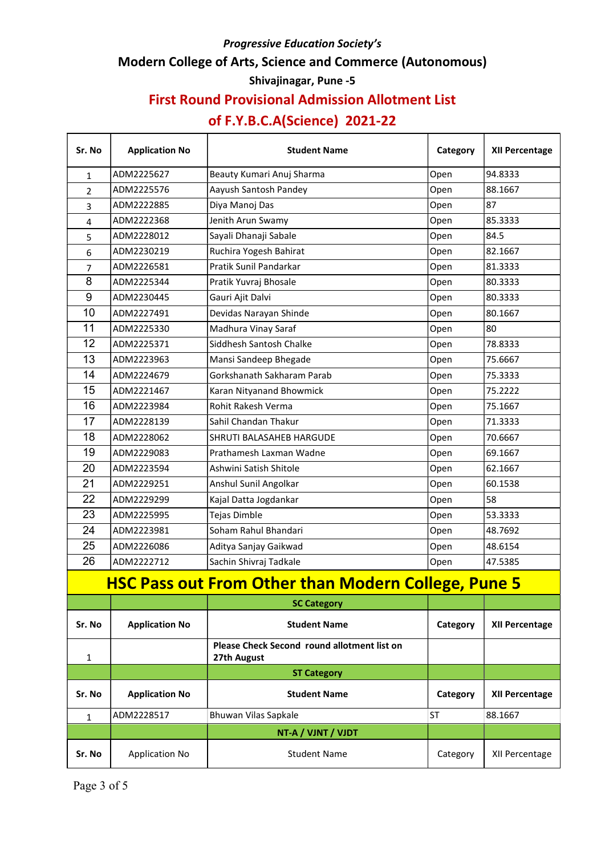# Modern College of Arts, Science and Commerce (Autonomous)

#### Shivajinagar, Pune -5

## First Round Provisional Admission Allotment List

# of F.Y.B.C.A(Science) 2021-22

| Sr. No                                                     | <b>Application No</b> | <b>Student Name</b>                                        | Category  | <b>XII Percentage</b> |
|------------------------------------------------------------|-----------------------|------------------------------------------------------------|-----------|-----------------------|
| 1                                                          | ADM2225627            | Beauty Kumari Anuj Sharma                                  | Open      | 94.8333               |
| $\overline{2}$                                             | ADM2225576            | Aayush Santosh Pandey                                      | Open      | 88.1667               |
| 3                                                          | ADM2222885            | Diya Manoj Das                                             | Open      | 87                    |
| 4                                                          | ADM2222368            | Jenith Arun Swamy                                          | Open      | 85.3333               |
| 5                                                          | ADM2228012            | Sayali Dhanaji Sabale                                      | Open      | 84.5                  |
| 6                                                          | ADM2230219            | Ruchira Yogesh Bahirat                                     | Open      | 82.1667               |
| 7                                                          | ADM2226581            | Pratik Sunil Pandarkar                                     | Open      | 81.3333               |
| 8                                                          | ADM2225344            | Pratik Yuvraj Bhosale                                      | Open      | 80.3333               |
| $\boldsymbol{9}$                                           | ADM2230445            | Gauri Ajit Dalvi                                           | Open      | 80.3333               |
| 10                                                         | ADM2227491            | Devidas Narayan Shinde                                     | Open      | 80.1667               |
| 11                                                         | ADM2225330            | Madhura Vinay Saraf                                        | Open      | 80                    |
| 12                                                         | ADM2225371            | Siddhesh Santosh Chalke                                    | Open      | 78.8333               |
| 13                                                         | ADM2223963            | Mansi Sandeep Bhegade                                      | Open      | 75.6667               |
| 14                                                         | ADM2224679            | Gorkshanath Sakharam Parab                                 | Open      | 75.3333               |
| 15                                                         | ADM2221467            | Karan Nityanand Bhowmick                                   | Open      | 75.2222               |
| 16                                                         | ADM2223984            | Rohit Rakesh Verma                                         | Open      | 75.1667               |
| 17                                                         | ADM2228139            | Sahil Chandan Thakur                                       | Open      | 71.3333               |
| 18                                                         | ADM2228062            | SHRUTI BALASAHEB HARGUDE                                   | Open      | 70.6667               |
| 19                                                         | ADM2229083            | Prathamesh Laxman Wadne                                    | Open      | 69.1667               |
| 20                                                         | ADM2223594            | Ashwini Satish Shitole                                     | Open      | 62.1667               |
| 21                                                         | ADM2229251            | Anshul Sunil Angolkar                                      | Open      | 60.1538               |
| 22                                                         | ADM2229299            | Kajal Datta Jogdankar                                      | Open      | 58                    |
| 23                                                         | ADM2225995            | <b>Tejas Dimble</b>                                        | Open      | 53.3333               |
| 24                                                         | ADM2223981            | Soham Rahul Bhandari                                       | Open      | 48.7692               |
| 25                                                         | ADM2226086            | Aditya Sanjay Gaikwad                                      | Open      | 48.6154               |
| 26                                                         | ADM2222712            | Sachin Shivraj Tadkale                                     | Open      | 47.5385               |
| <b>HSC Pass out From Other than Modern College, Pune 5</b> |                       |                                                            |           |                       |
|                                                            |                       | <b>SC Category</b>                                         |           |                       |
| Sr. No                                                     | <b>Application No</b> | <b>Student Name</b>                                        | Category  | <b>XII Percentage</b> |
| 1                                                          |                       | Please Check Second round allotment list on<br>27th August |           |                       |
|                                                            |                       | <b>ST Category</b>                                         |           |                       |
| Sr. No                                                     | <b>Application No</b> | <b>Student Name</b>                                        | Category  | XII Percentage        |
| $\mathbf{1}$                                               | ADM2228517            | Bhuwan Vilas Sapkale                                       | <b>ST</b> | 88.1667               |
|                                                            | NT-A / VJNT / VJDT    |                                                            |           |                       |
| Sr. No                                                     | <b>Application No</b> | <b>Student Name</b>                                        | Category  | XII Percentage        |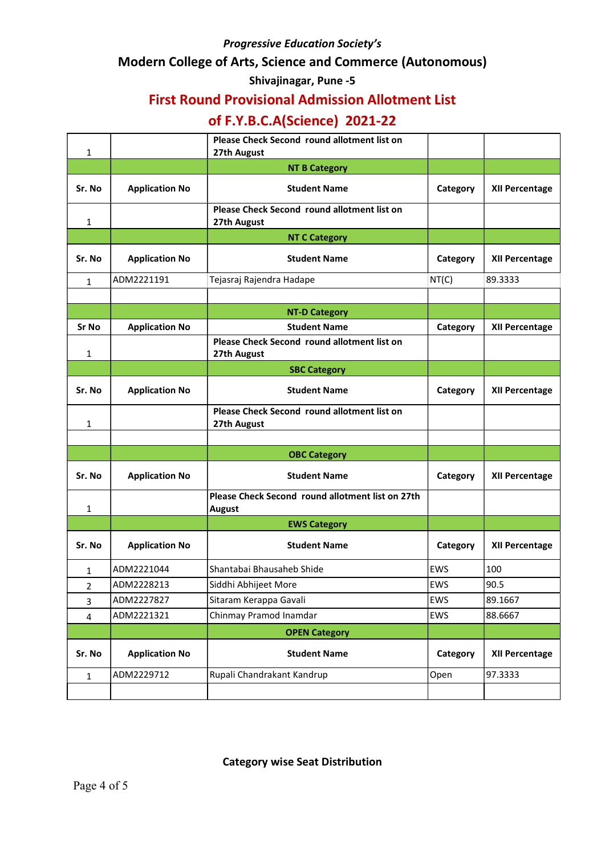#### Modern College of Arts, Science and Commerce (Autonomous)

#### Shivajinagar, Pune -5

## First Round Provisional Admission Allotment List

# of F.Y.B.C.A(Science) 2021-22

| 1            |                       | Please Check Second round allotment list on<br>27th August        |          |                       |
|--------------|-----------------------|-------------------------------------------------------------------|----------|-----------------------|
|              |                       | <b>NT B Category</b>                                              |          |                       |
| Sr. No       | <b>Application No</b> | <b>Student Name</b>                                               | Category | <b>XII Percentage</b> |
| $\mathbf{1}$ |                       | Please Check Second round allotment list on<br>27th August        |          |                       |
|              |                       | <b>NT C Category</b>                                              |          |                       |
| Sr. No       | <b>Application No</b> | <b>Student Name</b>                                               | Category | <b>XII Percentage</b> |
| 1            | ADM2221191            | Tejasraj Rajendra Hadape                                          | NT(C)    | 89.3333               |
|              |                       |                                                                   |          |                       |
|              |                       | <b>NT-D Category</b>                                              |          |                       |
| <b>Sr No</b> | <b>Application No</b> | <b>Student Name</b>                                               | Category | <b>XII Percentage</b> |
| 1            |                       | Please Check Second round allotment list on<br>27th August        |          |                       |
|              |                       | <b>SBC Category</b>                                               |          |                       |
| Sr. No       | <b>Application No</b> | <b>Student Name</b>                                               | Category | XII Percentage        |
| 1            |                       | Please Check Second round allotment list on<br>27th August        |          |                       |
|              |                       |                                                                   |          |                       |
|              |                       | <b>OBC Category</b>                                               |          |                       |
| Sr. No       | <b>Application No</b> | <b>Student Name</b>                                               | Category | XII Percentage        |
| 1            |                       | Please Check Second round allotment list on 27th<br><b>August</b> |          |                       |
|              |                       | <b>EWS Category</b>                                               |          |                       |
| Sr. No       | <b>Application No</b> | <b>Student Name</b>                                               | Category | XII Percentage        |
| 1            | ADM2221044            | Shantabai Bhausaheb Shide                                         | EWS      | 100                   |
| $\mathbf 2$  | ADM2228213            | Siddhi Abhijeet More                                              | EWS      | 90.5                  |
| 3            | ADM2227827            | Sitaram Kerappa Gavali                                            | EWS      | 89.1667               |
| 4            | ADM2221321            | Chinmay Pramod Inamdar                                            | EWS      | 88.6667               |
|              |                       | <b>OPEN Category</b>                                              |          |                       |
| Sr. No       | <b>Application No</b> | <b>Student Name</b>                                               | Category | XII Percentage        |
| $\mathbf{1}$ | ADM2229712            | Rupali Chandrakant Kandrup                                        | Open     | 97.3333               |
|              |                       |                                                                   |          |                       |

Category wise Seat Distribution